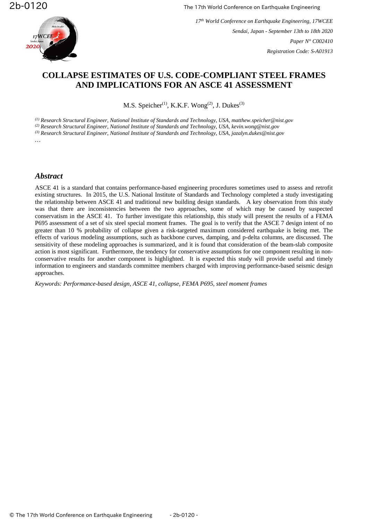

*17th World Conference on Earthquake Engineering, 17WCEE Sendai, Japan - September 13th to 18th 2020 Paper N° C002410 Registration Code: S-A01913*

# **COLLAPSE ESTIMATES OF U.S. CODE-COMPLIANT STEEL FRAMES AND IMPLICATIONS FOR AN ASCE 41 ASSESSMENT**

M.S. Speicher<sup>(1)</sup>, K.K.F. Wong<sup>(2)</sup>, J. Dukes<sup>(3)</sup>

*(1) Research Structural Engineer, National Institute of Standards and Technology, USA, matthew.speicher@nist.gov (2) Research Structural Engineer, National Institute of Standards and Technology, USA, kevin.wong@nist.gov (3) Research Structural Engineer, National Institute of Standards and Technology, USA, jazalyn.dukes@nist.gov …*

#### *Abstract*

ASCE 41 is a standard that contains performance-based engineering procedures sometimes used to assess and retrofit existing structures. In 2015, the U.S. National Institute of Standards and Technology completed a study investigating the relationship between ASCE 41 and traditional new building design standards. A key observation from this study was that there are inconsistencies between the two approaches, some of which may be caused by suspected conservatism in the ASCE 41. To further investigate this relationship, this study will present the results of a FEMA P695 assessment of a set of six steel special moment frames. The goal is to verify that the ASCE 7 design intent of no greater than 10 % probability of collapse given a risk-targeted maximum considered earthquake is being met. The effects of various modeling assumptions, such as backbone curves, damping, and p-delta columns, are discussed. The sensitivity of these modeling approaches is summarized, and it is found that consideration of the beam-slab composite action is most significant. Furthermore, the tendency for conservative assumptions for one component resulting in nonconservative results for another component is highlighted. It is expected this study will provide useful and timely information to engineers and standards committee members charged with improving performance-based seismic design approaches.

*Keywords: Performance-based design, ASCE 41, collapse, FEMA P695, steel moment frames*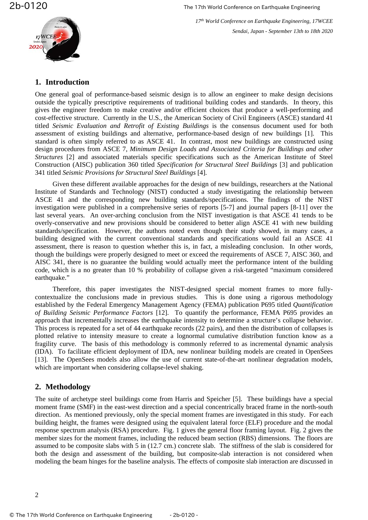

*17th World Conference on Earthquake Engineering, 17WCEE Sendai, Japan - September 13th to 18th 2020*

#### **1. Introduction**

One general goal of performance-based seismic design is to allow an engineer to make design decisions outside the typically prescriptive requirements of traditional building codes and standards. In theory, this gives the engineer freedom to make creative and/or efficient choices that produce a well-performing and cost-effective structure. Currently in the U.S., the American Society of Civil Engineers (ASCE) standard 41 titled *Seismic Evaluation and Retrofit of Existing Buildings* is the consensus document used for both assessment of existing buildings and alternative, performance-based design of new buildings [1]. This standard is often simply referred to as ASCE 41. In contrast, most new buildings are constructed using design procedures from ASCE 7, *Minimum Design Loads and Associated Criteria for Buildings and other Structures* [2] and associated materials specific specifications such as the American Institute of Steel Construction (AISC) publication 360 titled *Specification for Structural Steel Buildings* [3] and publication 341 titled *Seismic Provisions for Structural Steel Buildings* [4].

Given these different available approaches for the design of new buildings, researchers at the National Institute of Standards and Technology (NIST) conducted a study investigating the relationship between ASCE 41 and the corresponding new building standards/specifications. The findings of the NIST investigation were published in a comprehensive series of reports [5-7] and journal papers [8-11] over the last several years. An over-arching conclusion from the NIST investigation is that ASCE 41 tends to be overly-conservative and new provisions should be considered to better align ASCE 41 with new building standards/specification. However, the authors noted even though their study showed, in many cases, a building designed with the current conventional standards and specifications would fail an ASCE 41 assessment, there is reason to question whether this is, in fact, a misleading conclusion. In other words, though the buildings were properly designed to meet or exceed the requirements of ASCE 7, AISC 360, and AISC 341, there is no guarantee the building would actually meet the performance intent of the building code, which is a no greater than 10 % probability of collapse given a risk-targeted "maximum considered earthquake."

Therefore, this paper investigates the NIST-designed special moment frames to more fullycontextualize the conclusions made in previous studies. This is done using a rigorous methodology established by the Federal Emergency Management Agency (FEMA) publication P695 titled *Quantification of Building Seismic Performance Factors* [12]. To quantify the performance, FEMA P695 provides an approach that incrementally increases the earthquake intensity to determine a structure's collapse behavior. This process is repeated for a set of 44 earthquake records (22 pairs), and then the distribution of collapses is plotted relative to intensity measure to create a lognormal cumulative distribution function know as a fragility curve. The basis of this methodology is commonly referred to as incremental dynamic analysis (IDA). To facilitate efficient deployment of IDA, new nonlinear building models are created in OpenSees [13]. The OpenSees models also allow the use of current state-of-the-art nonlinear degradation models, which are important when considering collapse-level shaking.

### **2. Methodology**

The suite of archetype steel buildings come from Harris and Speicher [5]. These buildings have a special moment frame (SMF) in the east-west direction and a special concentrically braced frame in the north-south direction. As mentioned previously, only the special moment frames are investigated in this study. For each building height, the frames were designed using the equivalent lateral force (ELF) procedure and the modal response spectrum analysis (RSA) procedure. [Fig.](#page-3-0) 1 gives the general floor framing layout. [Fig.](#page-4-0) 2 gives the member sizes for the moment frames, including the reduced beam section (RBS) dimensions. The floors are assumed to be composite slabs with 5 in (12.7 cm.) concrete slab. The stiffness of the slab is considered for both the design and assessment of the building, but composite-slab interaction is not considered when modeling the beam hinges for the baseline analysis. The effects of composite slab interaction are discussed in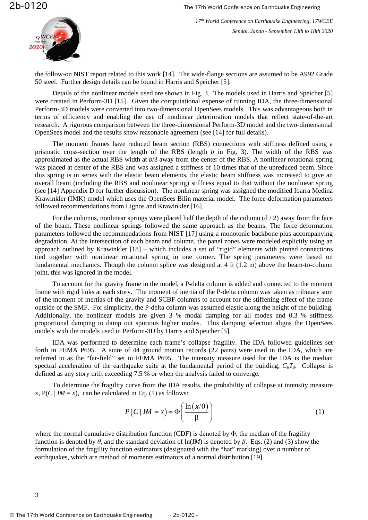

the follow-on NIST report related to this work [14]. The wide-flange sections are assumed to be A992 Grade 50 steel. Further design details can be found in Harris and Speicher [5].

Details of the nonlinear models used are shown in [Fig.](#page-5-0) 3. The models used in Harris and Speicher [5] were created in Perform-3D [15]. Given the computational expense of running IDA, the three-dimensional Perform-3D models were converted into two-dimensional OpenSees models. This was advantageous both in terms of efficiency and enabling the use of nonlinear deterioration models that reflect state-of-the-art research. A rigorous comparison between the three-dimensional Perform-3D model and the two-dimensional OpenSees model and the results show reasonable agreement (see [14] for full details).

The moment frames have reduced beam section (RBS) connections with stiffness defined using a prismatic cross-section over the length of the RBS (length *b* in [Fig.](#page-5-0) 3). The width of the RBS was approximated as the actual RBS width at *b*/3 away from the center of the RBS. A nonlinear rotational spring was placed at center of the RBS and was assigned a stiffness of 10 times that of the unreduced beam. Since this spring is in series with the elastic beam elements, the elastic beam stiffness was increased to give an overall beam (including the RBS and nonlinear spring) stiffness equal to that without the nonlinear spring (see [14] Appendix D for further discussion). The nonlinear spring was assigned the modified Ibarra Medina Krawinkler (IMK) model which uses the OpenSees Bilin material model. The force-deformation parameters followed recommendations from Lignos and Krawinkler [16].

For the columns, nonlinear springs were placed half the depth of the column  $(d / 2)$  away from the face of the beam. These nonlinear springs followed the same approach as the beams. The force-deformation parameters followed the recommendations from NIST [17] using a monotonic backbone plus accompanying degradation. At the intersection of each beam and column, the panel zones were modeled explicitly using an approach outlined by Krawinkler [18] – which includes a set of "rigid" elements with pinned connections tied together with nonlinear rotational spring in one corner. The spring parameters were based on fundamental mechanics. Though the column splice was designed at 4 ft (1.2 m) above the beam-to-column joint, this was ignored in the model.

To account for the gravity frame in the model, a P-delta column is added and connected to the moment frame with rigid links at each story. The moment of inertia of the P-delta column was taken as tributary sum of the moment of inertias of the gravity and SCBF columns to account for the stiffening effect of the frame outside of the SMF. For simplicity, the P-delta column was assumed elastic along the height of the building. Additionally, the nonlinear models are given 3 % modal damping for all modes and 0.3 % stiffness proportional damping to damp out spurious higher modes. This damping selection aligns the OpenSees models with the models used in Perform-3D by Harris and Speicher [5].

IDA was performed to determine each frame's collapse fragility. The IDA followed guidelines set forth in FEMA P695. A suite of 44 ground motion records (22 pairs) were used in the IDA, which are referred to as the "far-field" set in FEMA P695. The intensity measure used for the IDA is the median spectral acceleration of the earthquake suite at the fundamental period of the building, *CuTa*. Collapse is defined as any story drift exceeding 7.5 % or when the analysis failed to converge.

To determine the fragility curve from the IDA results, the probability of collapse at intensity measure x,  $P(C | IM = x)$ , can be calculated in Eq. (1) as follows:

$$
P(C \mid IM = x) = \Phi\left(\frac{\ln\left(x/\theta\right)}{\beta}\right) \tag{1}
$$

where the normal cumulative distribution function (CDF) is denoted by  $\Phi$ , the median of the fragility function is denoted by *θ*, and the standard deviation of ln(*IM*) is denoted by *β*. Eqs. (2) and (3) show the formulation of the fragility function estimators (designated with the "hat" marking) over *n* number of earthquakes, which are method of moments estimators of a normal distribution [19].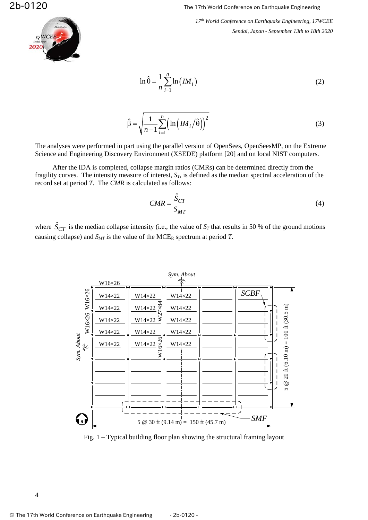

*17th World Conference on Earthquake Engineering, 17WCEE Sendai, Japan - September 13th to 18th 2020*

$$
\ln \hat{\theta} = \frac{1}{n} \sum_{i=1}^{n} \ln \left( I M_i \right) \tag{2}
$$

$$
\hat{\beta} = \sqrt{\frac{1}{n-1} \sum_{i=1}^{n} \left( \ln \left( I M_i / \hat{\theta} \right) \right)^2}
$$
\n(3)

The analyses were performed in part using the parallel version of OpenSees, OpenSeesMP, on the Extreme Science and Engineering Discovery Environment (XSEDE) platform [20] and on local NIST computers.

After the IDA is completed, collapse margin ratios (CMRs) can be determined directly from the fragility curves. The intensity measure of interest,  $S_T$ , is defined as the median spectral acceleration of the record set at period *T*. The *CMR* is calculated as follows:

$$
CMR = \frac{\hat{S}_{CT}}{S_{MT}}
$$
\n(4)

where  $\hat{S}_{CT}$  is the median collapse intensity (i.e., the value of  $S_T$  that results in 50 % of the ground motions causing collapse) and  $S_{MT}$  is the value of the MCE<sub>R</sub> spectrum at period *T*.



<span id="page-3-0"></span>Fig. 1 – Typical building floor plan showing the structural framing layout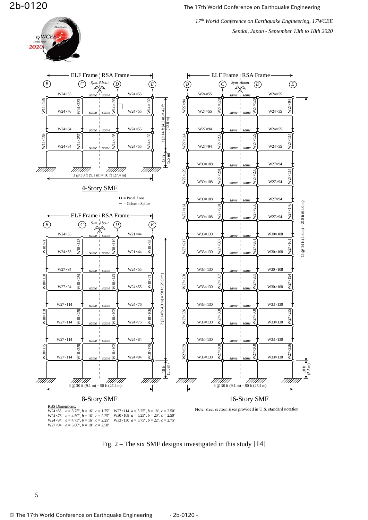17WCEE

2020

*17th World Conference on Earthquake Engineering, 17WCEE Sendai, Japan - September 13th to 18th 2020*



<span id="page-4-0"></span>Fig. 2 – The six SMF designs investigated in this study [14]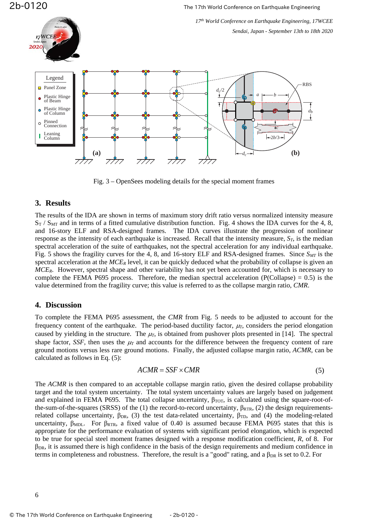17WCEE

2b-0120 The 17th World Conference on Earthquake Engineering

*17th World Conference on Earthquake Engineering, 17WCEE Sendai, Japan - September 13th to 18th 2020*



Fig. 3 – OpenSees modeling details for the special moment frames

# <span id="page-5-0"></span>**3. Results**

The results of the IDA are shown in terms of maximum story drift ratio versus normalized intensity measure  $S_T$  /  $S_{\text{MT}}$  and in terms of a fitted cumulative distribution function. [Fig.](#page-6-0) 4 shows the IDA curves for the 4, 8, and 16-story ELF and RSA-designed frames. The IDA curves illustrate the progression of nonlinear response as the intensity of each earthquake is increased. Recall that the intensity measure,  $S_T$ , is the median spectral acceleration of the suite of earthquakes, not the spectral acceleration for any individual earthquake. [Fig.](#page-7-0) 5 shows the fragility curves for the 4, 8, and 16-story ELF and RSA-designed frames. Since  $S_{MT}$  is the spectral acceleration at the *MCE<sub>R</sub>* level, it can be quickly deduced what the probability of collapse is given an *MCER*. However, spectral shape and other variability has not yet been accounted for, which is necessary to complete the FEMA P695 process. Therefore, the median spectral acceleration (P(Collapse)  $= 0.5$ ) is the value determined from the fragility curve; this value is referred to as the collapse margin ratio, *CMR*.

### **4. Discussion**

To complete the FEMA P695 assessment, the *CMR* from [Fig.](#page-7-0) 5 needs to be adjusted to account for the frequency content of the earthquake. The period-based ductility factor,  $\mu_T$ , considers the period elongation caused by yielding in the structure. The  $\mu$ <sub>*T*</sub>, is obtained from pushover plots presented in [14]. The spectral shape factor, *SSF*, then uses the  $\mu_T$  and accounts for the difference between the frequency content of rare ground motions versus less rare ground motions. Finally, the adjusted collapse margin ratio, *ACMR*, can be calculated as follows in Eq. [\(5\)](#page-5-1):

<span id="page-5-1"></span>
$$
ACMR = SSF \times CMR \tag{5}
$$

The *ACMR* is then compared to an acceptable collapse margin ratio, given the desired collapse probability target and the total system uncertainty. The total system uncertainty values are largely based on judgement and explained in FEMA P695. The total collapse uncertainty,  $\beta_{\text{TOT}}$ , is calculated using the square-root-ofthe-sum-of-the-squares (SRSS) of the (1) the record-to-record uncertainty,  $\beta_{\text{RTR}}$ , (2) the design requirementsrelated collapse uncertainty,  $\beta_{DR}$ , (3) the test data-related uncertainty,  $\beta_{TD}$ , and (4) the modeling-related uncertainty,  $\beta_{MDL}$ . For  $\beta_{RTR}$ , a fixed value of 0.40 is assumed because FEMA P695 states that this is appropriate for the performance evaluation of systems with significant period elongation, which is expected to be true for special steel moment frames designed with a response modification coefficient, *R*, of 8. For  $\beta_{\text{DR}}$ , it is assumed there is high confidence in the basis of the design requirements and medium confidence in terms in completeness and robustness. Therefore, the result is a "good" rating, and a  $\beta_{DR}$  is set to 0.2. For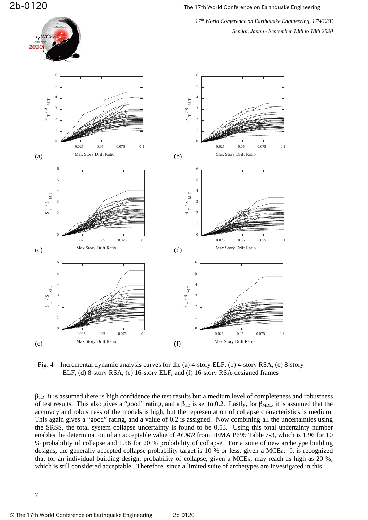17WCEE



<span id="page-6-0"></span>Fig. 4 – Incremental dynamic analysis curves for the (a) 4-story ELF, (b) 4-story RSA, (c) 8-story ELF, (d) 8-story RSA, (e) 16-story ELF, and (f) 16-story RSA-designed frames

 $\beta_{\text{TD}}$ , it is assumed there is high confidence the test results but a medium level of completeness and robustness of test results. This also gives a "good" rating, and a  $\beta_{TD}$  is set to 0.2. Lastly, for  $\beta_{MDL}$ , it is assumed that the accuracy and robustness of the models is high, but the representation of collapse characteristics is medium. This again gives a "good" rating, and a value of 0.2 is assigned. Now combining all the uncertainties using the SRSS, the total system collapse uncertainty is found to be 0.53. Using this total uncertainty number enables the determination of an acceptable value of *ACMR* from FEMA P695 Table 7-3, which is 1.96 for 10 % probability of collapse and 1.56 for 20 % probability of collapse. For a suite of new archetype building designs, the generally accepted collapse probability target is 10 % or less, given a MCER. It is recognized that for an individual building design, probability of collapse, given a  $MCE_R$ , may reach as high as 20 %, which is still considered acceptable. Therefore, since a limited suite of archetypes are investigated in this

7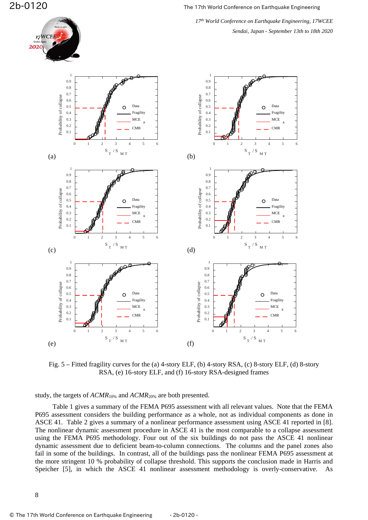

*17th World Conference on Earthquake Engineering, 17WCEE Sendai, Japan - September 13th to 18th 2020*



<span id="page-7-0"></span>Fig. 5 – Fitted fragility curves for the (a) 4-story ELF, (b) 4-story RSA, (c) 8-story ELF, (d) 8-story RSA, (e) 16-story ELF, and (f) 16-story RSA-designed frames

study, the targets of *ACMR*10% and *ACMR*20% are both presented.

[Table 1](#page-8-0) gives a summary of the FEMA P695 assessment with all relevant values. Note that the FEMA P695 assessment considers the building performance as a whole, not as individual components as done in ASCE 41. [Table 2](#page-8-1) gives a summary of a nonlinear performance assessment using ASCE 41 reported in [8]. The nonlinear dynamic assessment procedure in ASCE 41 is the most comparable to a collapse assessment using the FEMA P695 methodology. Four out of the six buildings do not pass the ASCE 41 nonlinear dynamic assessment due to deficient beam-to-column connections. The columns and the panel zones also fail in some of the buildings. In contrast, all of the buildings pass the nonlinear FEMA P695 assessment at the more stringent 10 % probability of collapse threshold. This supports the conclusion made in Harris and Speicher [5], in which the ASCE 41 nonlinear assessment methodology is overly-conservative.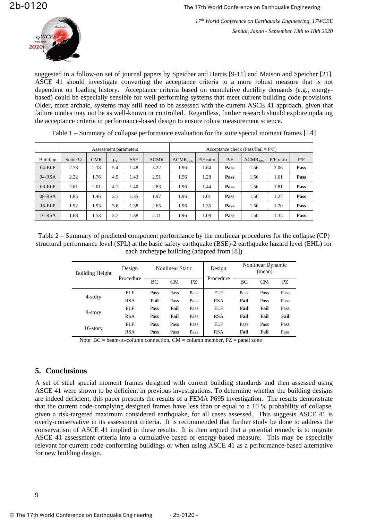

suggested in a follow-on set of journal papers by Speicher and Harris [9-11] and Maison and Speicher [21], ASCE 41 should investigate converting the acceptance criteria to a more robust measure that is not dependent on loading history. Acceptance criteria based on cumulative ductility demands (e.g., energybased) could be especially sensible for well-performing systems that meet current building code provisions. Older, more archaic, systems may still need to be assessed with the current ASCE 41 approach, given that failure modes may not be as well-known or controlled. Regardless, further research should explore updating the acceptance criteria in performance-based design to ensure robust measurement science.

<span id="page-8-0"></span>

|           | Assessment parameters |            |                    |            | Acceptance check (Pass/Fail = $P/F$ ) |               |             |      |               |             |      |
|-----------|-----------------------|------------|--------------------|------------|---------------------------------------|---------------|-------------|------|---------------|-------------|------|
| Building  | Static $\Omega$       | <b>CMR</b> | $\mu$ <sub>T</sub> | <b>SSF</b> | <b>ACMR</b>                           | $ACMR_{10\%}$ | $P/F$ ratio | P/F  | $ACMR_{20\%}$ | $P/F$ ratio | P/F  |
| $04$ -ELF | 2.78                  | 2.18       | 5.4                | 1.48       | 3.22                                  | 1.96          | 1.64        | Pass | 1.56          | 2.06        | Pass |
| $04$ -RSA | 2.22                  | 1.76       | 4.5                | 1.43       | 2.51                                  | 1.96          | 1.28        | Pass | 1.56          | 1.61        | Pass |
| $08$ -ELF | 2.61                  | 2.01       | 4.1                | 1.40       | 2.83                                  | 1.96          | 1.44        | Pass | 1.56          | 1.81        | Pass |
| $08-RSA$  | 1.85                  | 1.46       | 3.1                | 1.35       | 1.97                                  | 1.96          | 1.01        | Pass | 1.56          | 1.27        | Pass |
| $16$ -ELF | 1.92                  | 1.93       | 3.6                | 1.38       | 2.65                                  | 1.96          | 1.35        | Pass | 1.56          | 1.70        | Pass |
| $16$ -RSA | 1.68                  | 1.53       | 3.7                | 1.38       | 2.11                                  | 1.96          | 1.08        | Pass | 1.56          | 1.35        | Pass |

Table 1 – Summary of collapse performance evaluation for the suite special moment frames [14]

<span id="page-8-1"></span>Table 2 – Summary of predicted component performance by the nonlinear procedures for the collapse (CP) structural performance level (SPL) at the basic safety earthquake (BSE)-2 earthquake hazard level (EHL) for each archetype building (adapted from [8])

| <b>Building Height</b> | Design     | <b>Nonlinear Static</b> |      |      | Design     | Nonlinear Dynamic<br>(mean) |           |      |
|------------------------|------------|-------------------------|------|------|------------|-----------------------------|-----------|------|
|                        | Procedure  | ВC                      | CМ   | PZ   | Procedure  | BC                          | <b>CM</b> | PZ.  |
|                        | ELF        | Pass                    | Pass | Pass | ELF        | Pass                        | Pass      | Pass |
| 4-story                | <b>RSA</b> | Fail                    | Pass | Pass | <b>RSA</b> | Fail                        | Pass      | Pass |
|                        | ELF        | Pass                    | Fail | Pass | ELF        | Fail                        | Fail      | Pass |
| 8-story                | <b>RSA</b> | Pass                    | Fail | Pass | <b>RSA</b> | Fail                        | Fail      | Fail |
|                        | ELF        | Pass                    | Pass | Pass | ELF        | Pass                        | Pass      | Pass |
| 16-story               | <b>RSA</b> | Pass                    | Pass | Pass | <b>RSA</b> | Fail                        | Fail      | Pass |

Note: BC = beam-to-column connection, CM = column member, PZ = panel zone

### **5. Conclusions**

A set of steel special moment frames designed with current building standards and then assessed using ASCE 41 were shown to be deficient in previous investigations. To determine whether the building designs are indeed deficient, this paper presents the results of a FEMA P695 investigation. The results demonstrate that the current code-complying designed frames have less than or equal to a 10 % probability of collapse, given a risk-targeted maximum considered earthquake, for all cases assessed. This suggests ASCE 41 is overly-conservative in its assessment criteria. It is recommended that further study be done to address the conservatism of ASCE 41 implied in these results. It is then argued that a potential remedy is to migrate ASCE 41 assessment criteria into a cumulative-based or energy-based measure. This may be especially relevant for current code-conforming buildings or when using ASCE 41 as a performance-based alternative for new building design.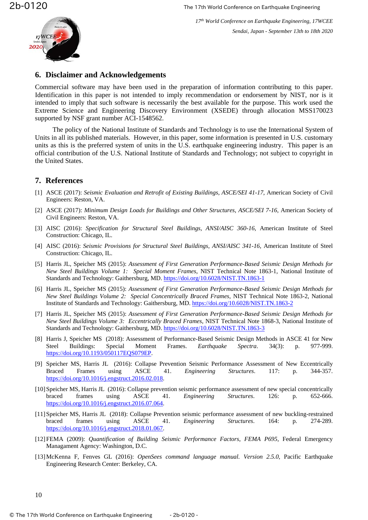#### **6. Disclaimer and Acknowledgements**

Commercial software may have been used in the preparation of information contributing to this paper. Identification in this paper is not intended to imply recommendation or endorsement by NIST, nor is it intended to imply that such software is necessarily the best available for the purpose. This work used the Extreme Science and Engineering Discovery Environment (XSEDE) through allocation MSS170023 supported by NSF grant number ACI-1548562.

The policy of the National Institute of Standards and Technology is to use the International System of Units in all its published materials. However, in this paper, some information is presented in U.S. customary units as this is the preferred system of units in the U.S. earthquake engineering industry. This paper is an official contribution of the U.S. National Institute of Standards and Technology; not subject to copyright in the United States.

# **7. References**

- [1] ASCE (2017): *Seismic Evaluation and Retrofit of Existing Buildings*, *ASCE/SEI 41-17*, American Society of Civil Engineers: Reston, VA.
- [2] ASCE (2017): *Minimum Design Loads for Buildings and Other Structures*, *ASCE/SEI 7-16*, American Society of Civil Engineers: Reston, VA.
- [3] AISC (2016): *Specification for Structural Steel Buildings*, *ANSI/AISC 360-16*, American Institute of Steel Construction: Chicago, IL.
- [4] AISC (2016): *Seismic Provisions for Structural Steel Buildings*, *ANSI/AISC 341-16*, American Institute of Steel Construction: Chicago, IL.
- [5] Harris JL, Speicher MS (2015): *Assessment of First Generation Performance-Based Seismic Design Methods for New Steel Buildings Volume 1: Special Moment Frames*, NIST Technical Note 1863-1, National Institute of Standards and Technology: Gaithersburg, MD.<https://doi.org/10.6028/NIST.TN.1863-1>
- [6] Harris JL, Speicher MS (2015): *Assessment of First Generation Performance-Based Seismic Design Methods for New Steel Buildings Volume 2: Special Concentrically Braced Frames*, NIST Technical Note 1863-2, National Institute of Standards and Technology: Gaithersburg, MD.<https://doi.org/10.6028/NIST.TN.1863-2>
- [7] Harris JL, Speicher MS (2015): *Assessment of First Generation Performance-Based Seismic Design Methods for New Steel Buildings Volume 3: Eccentrically Braced Frames*, NIST Technical Note 1868-3, National Institute of Standards and Technology: Gaithersburg, MD.<https://doi.org/10.6028/NIST.TN.1863-3>
- [8] Harris J, Speicher MS (2018): Assessment of Performance-Based Seismic Design Methods in ASCE 41 for New Steel Buildings: Special Moment Frames. *Earthquake Spectra*. 34(3): p. 977-999. [https://doi.org/10.1193/050117EQS079EP.](https://doi.org/10.1193/050117EQS079EP)
- [9] Speicher MS, Harris JL (2016): Collapse Prevention Seismic Performance Assessment of New Eccentrically Braced Frames using ASCE 41. *Engineering Structures*. 117: p. 344-357. [https://doi.org/10.1016/j.engstruct.2016.02.018.](https://doi.org/10.1016/j.engstruct.2016.02.018)
- [10]Speicher MS, Harris JL (2016): Collapse prevention seismic performance assessment of new special concentrically braced frames using ASCE 41. *Engineering Structures*. 126: p. 652-666. [https://doi.org/10.1016/j.engstruct.2016.07.064.](https://doi.org/10.1016/j.engstruct.2016.07.064)
- [11]Speicher MS, Harris JL (2018): Collapse Prevention seismic performance assessment of new buckling-restrained braced frames using ASCE 41. *Engineering Structures*. 164: p. 274-289. [https://doi.org/10.1016/j.engstruct.2018.01.067.](https://doi.org/10.1016/j.engstruct.2018.01.067)
- [12]FEMA (2009): *Quantification of Building Seismic Performance Factors*, *FEMA P695*, Federal Emergency Managament Agency: Washington, D.C.
- [13]McKenna F, Fenves GL (2016): *OpenSees command language manual. Version 2.5.0*, Pacific Earthquake Engineering Research Center: Berkeley, CA.

10